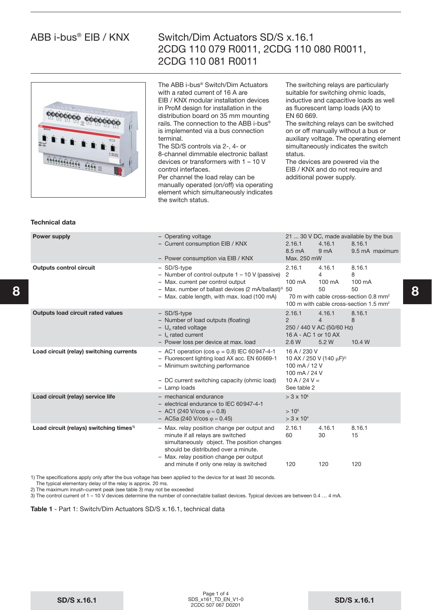# 00000 00000

# Switch/Dim Actuators SD/S x.16.1 2CDG 110 079 R0011, 2CDG 110 080 R0011, 2CDG 110 081 R0011

The ABB i-bus® Switch/Dim Actuators with a rated current of 16 A are EIB / KNX modular installation devices in ProM design for installation in the distribution board on 35 mm mounting rails. The connection to the ABB i-bus® is implemented via a bus connection terminal.

The SD/S controls via 2-, 4- or 8-channel dimmable electronic ballast devices or transformers with 1 – 10 V control interfaces.

Per channel the load relay can be manually operated (on/off) via operating element which simultaneously indicates the switch status.

The switching relays are particularly suitable for switching ohmic loads, inductive and capacitive loads as well as fluorescent lamp loads (AX) to EN 60 669.

The switching relays can be switched on or off manually without a bus or auxiliary voltage. The operating element simultaneously indicates the switch status.

The devices are powered via the EIB / KNX and do not require and additional power supply.

|   | Power supply                                        | - Operating voltage<br>- Current consumption EIB / KNX<br>- Power consumption via EIB / KNX                                                                                                                              | 2.16.1<br>8.5 mA<br>Max. 250 mW                                                                                          | 4.16.1<br>9 <sub>m</sub> A                                     | 21  30 V DC, made available by the bus<br>8.16.1<br>9.5 mA maximum                                                                                         |   |
|---|-----------------------------------------------------|--------------------------------------------------------------------------------------------------------------------------------------------------------------------------------------------------------------------------|--------------------------------------------------------------------------------------------------------------------------|----------------------------------------------------------------|------------------------------------------------------------------------------------------------------------------------------------------------------------|---|
| 8 | <b>Outputs control circuit</b>                      | - SD/S-type<br>- Number of control outpute $1 - 10$ V (passive)<br>- Max. current per control output<br>- Max. number of ballast devices (2 mA/ballast) <sup>3)</sup> 50<br>- Max. cable length, with max. load (100 mA) | 2.16.1<br>2<br>100 mA                                                                                                    | 4.16.1<br>$\overline{4}$<br>$100 \text{ mA}$<br>50             | 8.16.1<br>8<br>$100 \text{ mA}$<br>$50^{\circ}$<br>70 m with cable cross-section 0.8 mm <sup>2</sup><br>100 m with cable cross-section 1.5 mm <sup>2</sup> | 8 |
|   | <b>Outputs load circuit rated values</b>            | - SD/S-type<br>- Number of load outputs (floating)<br>$- U_n$ rated voltage<br>$- I_n$ rated current<br>- Power loss per device at max. load                                                                             | 2.16.1<br>$\mathcal{P}$<br>16 A - AC 1 or 10 AX<br>2.6 W                                                                 | 4.16.1<br>$\overline{4}$<br>250 / 440 V AC (50/60 Hz)<br>5.2 W | 8.16.1<br>8<br>10.4 W                                                                                                                                      |   |
|   | Load circuit (relay) switching currents             | - AC1 operation (cos $\varphi$ = 0.8) IEC 60947-4-1<br>- Fluorescent lighting load AX acc. EN 60669-1<br>- Minimum switching performance<br>- DC current switching capacity (ohmic load)<br>- Lamp loads                 | 16 A / 230 V<br>10 AX / 250 V (140 μF) <sup>2)</sup><br>100 mA / 12 V<br>100 mA / 24 V<br>$10 A / 24 V =$<br>See table 2 |                                                                |                                                                                                                                                            |   |
|   | Load circuit (relay) service life                   | - mechanical endurance<br>- electrical endurance to IEC 60947-4-1<br>$-$ AC1 (240 V/cos $\varphi = 0.8$ )<br>$-$ AC5a (240 V/cos $\varphi = 0.45$ )                                                                      | $> 3 \times 10^{6}$<br>> 10 <sup>5</sup><br>$>$ 3 x 10 <sup>4</sup>                                                      |                                                                |                                                                                                                                                            |   |
|   | Load circuit (relays) switching times <sup>1)</sup> | - Max. relay position change per output and<br>minute if all relays are switched<br>simultaneously object. The position changes<br>should be distributed over a minute.<br>- Max. relay position change per output       | 2.16.1<br>60                                                                                                             | 4.16.1<br>30                                                   | 8.16.1<br>15                                                                                                                                               |   |
|   |                                                     | and minute if only one relay is switched                                                                                                                                                                                 | 120                                                                                                                      | 120                                                            | 120                                                                                                                                                        |   |
|   |                                                     |                                                                                                                                                                                                                          |                                                                                                                          |                                                                |                                                                                                                                                            |   |

1) The specifications apply only after the bus voltage has been applied to the device for at least 30 seconds.

The typical elementary delay of the relay is approx. 20 ms.

2) The maximum inrush-current peak (see table 3) may not be exceeded

3) The control current of 1 – 10 V devices determine the number of connectable ballast devices. Typical devices are between 0.4 … 4 mA.

**Table 1** - Part 1: Switch/Dim Actuators SD/S x.16.1, technical data

**Technical data**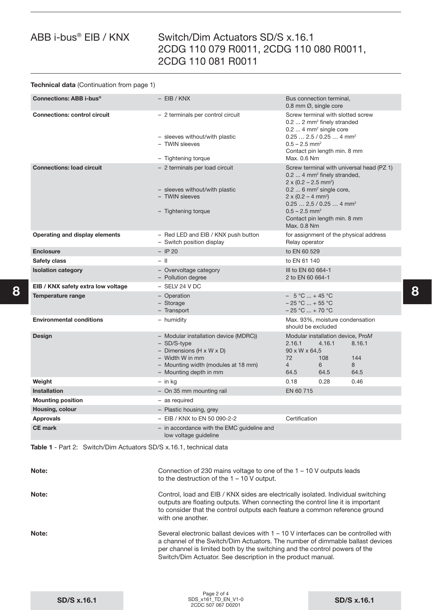# Switch/Dim Actuators SD/S x.16.1 2CDG 110 079 R0011, 2CDG 110 080 R0011, 2CDG 110 081 R0011

### **Technical data** (Continuation from page 1)

| Connections: ABB i-bus <sup>®</sup> | $-$ EIB / KNX                                                                                                                                                                      | Bus connection terminal,<br>0.8 mm $\varnothing$ , single core                                                                                                                                                                                                                                                                    |  |  |
|-------------------------------------|------------------------------------------------------------------------------------------------------------------------------------------------------------------------------------|-----------------------------------------------------------------------------------------------------------------------------------------------------------------------------------------------------------------------------------------------------------------------------------------------------------------------------------|--|--|
| <b>Connections: control circuit</b> | - 2 terminals per control circuit<br>- sleeves without/with plastic<br>- TWIN sleeves<br>- Tightening torque                                                                       | Screw terminal with slotted screw<br>0.2  2 mm <sup>2</sup> finely stranded<br>0.2  4 mm <sup>2</sup> single core<br>$0.25 2.5 / 0.25 4$ mm <sup>2</sup><br>$0.5 - 2.5$ mm <sup>2</sup><br>Contact pin length min. 8 mm<br>Max. 0.6 Nm                                                                                            |  |  |
| <b>Connections: load circuit</b>    | - 2 terminals per load circuit<br>- sleeves without/with plastic<br>- TWIN sleeves<br>- Tightening torque                                                                          | Screw terminal with universal head (PZ 1)<br>0.2  4 mm <sup>2</sup> finely stranded,<br>$2 \times (0.2 - 2.5$ mm <sup>2</sup> )<br>$0.2$ 6 mm <sup>2</sup> single core,<br>$2 \times (0.2 - 4$ mm <sup>2</sup> )<br>$0.252,5/0.254$ mm <sup>2</sup><br>$0.5 - 2.5$ mm <sup>2</sup><br>Contact pin length min. 8 mm<br>Max. 0.8 Nm |  |  |
| Operating and display elements      | - Red LED and EIB / KNX push button<br>- Switch position display                                                                                                                   | for assignment of the physical address<br>Relay operator                                                                                                                                                                                                                                                                          |  |  |
| <b>Enclosure</b>                    | $-$ IP 20                                                                                                                                                                          | to EN 60 529                                                                                                                                                                                                                                                                                                                      |  |  |
| Safety class                        | $-$ II                                                                                                                                                                             | to EN 61 140                                                                                                                                                                                                                                                                                                                      |  |  |
| <b>Isolation category</b>           | - Overvoltage category<br>- Pollution degree                                                                                                                                       | III to EN 60 664-1<br>2 to EN 60 664-1                                                                                                                                                                                                                                                                                            |  |  |
| EIB / KNX safety extra low voltage  | $-$ SELV 24 V DC                                                                                                                                                                   |                                                                                                                                                                                                                                                                                                                                   |  |  |
| Temperature range                   | - Operation<br>- Storage<br>- Transport                                                                                                                                            | $-5^{\circ}$ C  + 45 $^{\circ}$ C<br>$-25$ °C  + 55 °C<br>$-25 °C  + 70 °C$                                                                                                                                                                                                                                                       |  |  |
| <b>Environmental conditions</b>     | - humidity                                                                                                                                                                         | Max. 93%, moisture condensation<br>should be excluded                                                                                                                                                                                                                                                                             |  |  |
| Design                              | - Modular installation device (MDRC))<br>- SD/S-type<br>- Dimensions (H $\times$ W $\times$ D)<br>- Width W in mm<br>- Mounting width (modules at 18 mm)<br>- Mounting depth in mm | Modular installation device, ProM<br>8.16.1<br>2.16.1<br>4.16.1<br>90 x W x 64.5<br>144<br>72<br>108<br>$\overline{4}$<br>8<br>6<br>64.5<br>64.5<br>64.5                                                                                                                                                                          |  |  |
| Weight                              | - in ka                                                                                                                                                                            | 0.18<br>0.28<br>0.46                                                                                                                                                                                                                                                                                                              |  |  |
| <b>Installation</b>                 | - On 35 mm mounting rail                                                                                                                                                           | EN 60 715                                                                                                                                                                                                                                                                                                                         |  |  |
| <b>Mounting position</b>            | - as required                                                                                                                                                                      |                                                                                                                                                                                                                                                                                                                                   |  |  |
| Housing, colour                     | - Plastic housing, grey                                                                                                                                                            |                                                                                                                                                                                                                                                                                                                                   |  |  |
| <b>Approvals</b>                    | - EIB / KNX to EN 50 090-2-2                                                                                                                                                       | Certification                                                                                                                                                                                                                                                                                                                     |  |  |
| <b>CE</b> mark                      | - in accordance with the EMC guideline and<br>low voltage quideline                                                                                                                |                                                                                                                                                                                                                                                                                                                                   |  |  |

**Table 1** - Part 2: Switch/Dim Actuators SD/S x.16.1, technical data

| Note: | Connection of 230 mains voltage to one of the $1 - 10$ V outputs leads<br>to the destruction of the $1 - 10$ V output.                                                                                                                                                                                             |
|-------|--------------------------------------------------------------------------------------------------------------------------------------------------------------------------------------------------------------------------------------------------------------------------------------------------------------------|
| Note: | Control, load and EIB / KNX sides are electrically isolated. Individual switching<br>outputs are floating outputs. When connecting the control line it is important<br>to consider that the control outputs each feature a common reference ground<br>with one another.                                            |
| Note: | Several electronic ballast devices with $1 - 10$ V interfaces can be controlled with<br>a channel of the Switch/Dim Actuators. The number of dimmable ballast devices<br>per channel is limited both by the switching and the control powers of the<br>Switch/Dim Actuator. See description in the product manual. |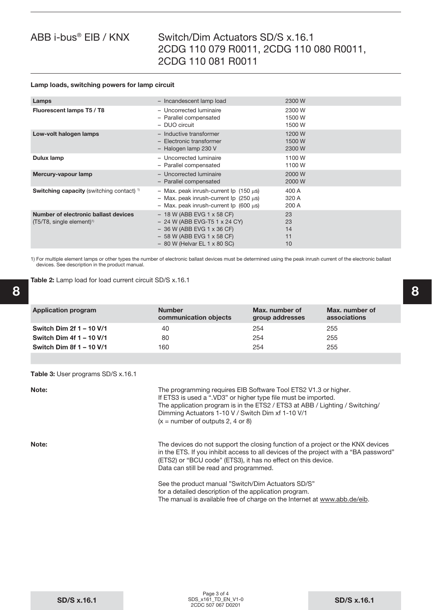# Switch/Dim Actuators SD/S x.16.1 2CDG 110 079 R0011, 2CDG 110 080 R0011, 2CDG 110 081 R0011

#### **Lamp loads, switching powers for lamp circuit**

| Lamps                                                                                 | - Incandescent lamp load                                                                                                                                        | 2300 W                     |
|---------------------------------------------------------------------------------------|-----------------------------------------------------------------------------------------------------------------------------------------------------------------|----------------------------|
| Fluorescent lamps T5 / T8                                                             | - Uncorrected luminaire<br>- Parallel compensated<br>- DUO circuit                                                                                              | 2300 W<br>1500 W<br>1500 W |
| Low-volt halogen lamps                                                                | - Inductive transformer<br>- Electronic transformer<br>- Halogen lamp 230 V                                                                                     | 1200 W<br>1500 W<br>2300 W |
| Dulux lamp                                                                            | - Uncorrected luminaire<br>- Parallel compensated                                                                                                               | 1100 W<br>1100 W           |
| Mercury-vapour lamp                                                                   | - Uncorrected luminaire<br>- Parallel compensated                                                                                                               | 2000 W<br>2000 W           |
| <b>Switching capacity</b> (switching contact) $\frac{1}{1}$                           | - Max. peak inrush-current Ip $(150 \mu s)$<br>$-$ Max. peak inrush-current Ip (250 $\mu$ s)<br>- Max. peak inrush-current $\log$ (600 $\mu$ s)                 | 400 A<br>320 A<br>200 A    |
| Number of electronic ballast devices<br>$(T5/T8, \text{ single element})^{\text{th}}$ | $-18$ W (ABB EVG 1 x 58 CF)<br>$-$ 24 W (ABB EVG-T5 1 x 24 CY)<br>$-$ 36 W (ABB EVG 1 x 36 CF)<br>$-58$ W (ABB EVG 1 x 58 CF)<br>$-$ 80 W (Helvar EL 1 x 80 SC) | 23<br>23<br>14<br>11<br>10 |

1) For multiple element lamps or other types the number of electronic ballast devices must be determined using the peak inrush current of the electronic ballast devices. See description in the product manual.

**Table 2:** Lamp load for load current circuit SD/S x.16.1

| <b>Application program</b> | <b>Number</b><br>communication objects | Max, number of<br>group addresses | Max. number of<br>associations |
|----------------------------|----------------------------------------|-----------------------------------|--------------------------------|
| Switch Dim 2f 1 - 10 V/1   | 40                                     | 254                               | 255                            |
| Switch Dim 4f 1 - 10 V/1   | 80                                     | 254                               | 255                            |
| Switch Dim 8f 1 - 10 V/1   | 160                                    | 254                               | 255                            |

**Table 3:** User programs SD/S x.16.1

**Note: The programming requires EIB Software Tool ETS2 V1.3 or higher.** If ETS3 is used a ".VD3" or higher type file must be imported. The application program is in the ETS2 / ETS3 at ABB / Lighting / Switching/ Dimming Actuators 1-10 V / Switch Dim xf 1-10 V/1  $(x =$  number of outputs 2, 4 or 8) **Note:** Note: The devices do not support the closing function of a project or the KNX devices in the ETS. If you inhibit access to all devices of the project with a "BA password" (ETS2) or "BCU code" (ETS3), it has no effect on this device. Data can still be read and programmed.

 See the product manual "Switch/Dim Actuators SD/S" for a detailed description of the application program. The manual is available free of charge on the Internet at www.abb.de/eib.